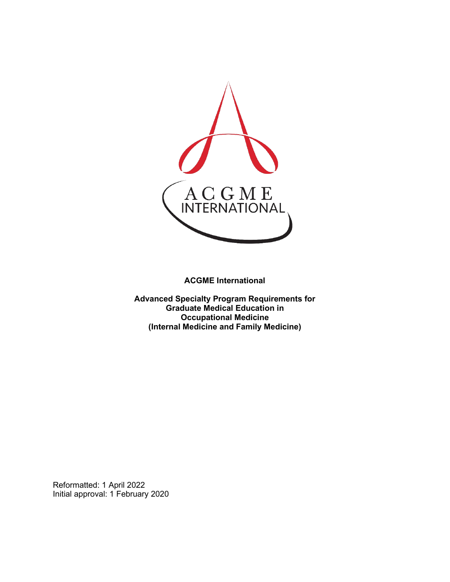

**ACGME International** 

**Advanced Specialty Program Requirements for Graduate Medical Education in Occupational Medicine (Internal Medicine and Family Medicine)**

Reformatted: 1 April 2022 Initial approval: 1 February 2020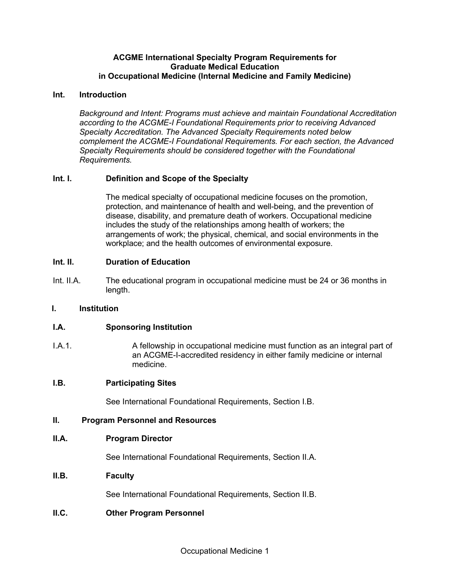#### **ACGME International Specialty Program Requirements for Graduate Medical Education in Occupational Medicine (Internal Medicine and Family Medicine)**

#### **Int. Introduction**

*Background and Intent: Programs must achieve and maintain Foundational Accreditation according to the ACGME-I Foundational Requirements prior to receiving Advanced Specialty Accreditation. The Advanced Specialty Requirements noted below complement the ACGME-I Foundational Requirements. For each section, the Advanced Specialty Requirements should be considered together with the Foundational Requirements.*

## **Int. I. Definition and Scope of the Specialty**

The medical specialty of occupational medicine focuses on the promotion, protection, and maintenance of health and well-being, and the prevention of disease, disability, and premature death of workers. Occupational medicine includes the study of the relationships among health of workers; the arrangements of work; the physical, chemical, and social environments in the workplace; and the health outcomes of environmental exposure.

#### **Int. II. Duration of Education**

Int. II.A. The educational program in occupational medicine must be 24 or 36 months in length.

#### **I. Institution**

## **I.A. Sponsoring Institution**

I.A.1. A fellowship in occupational medicine must function as an integral part of an ACGME-I-accredited residency in either family medicine or internal medicine.

#### **I.B. Participating Sites**

See International Foundational Requirements, Section I.B.

#### **II. Program Personnel and Resources**

#### **II.A. Program Director**

See International Foundational Requirements, Section II.A.

## **II.B. Faculty**

See International Foundational Requirements, Section II.B.

## **II.C. Other Program Personnel**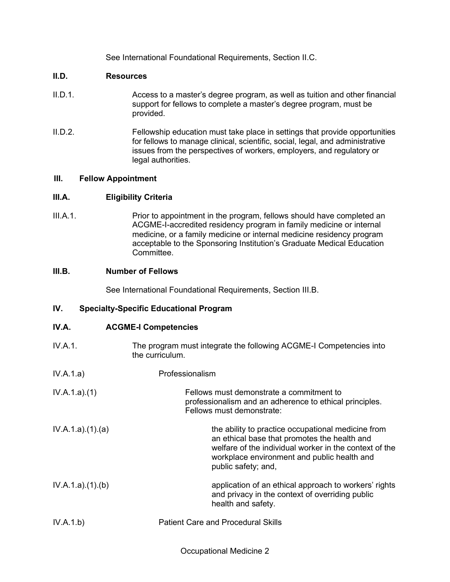See International Foundational Requirements, Section II.C.

### **II.D. Resources**

- II.D.1. Access to a master's degree program, as well as tuition and other financial support for fellows to complete a master's degree program, must be provided.
- II.D.2. Fellowship education must take place in settings that provide opportunities for fellows to manage clinical, scientific, social, legal, and administrative issues from the perspectives of workers, employers, and regulatory or legal authorities.

## **III. Fellow Appointment**

## **III.A. Eligibility Criteria**

III.A.1. Prior to appointment in the program, fellows should have completed an ACGME-I-accredited residency program in family medicine or internal medicine, or a family medicine or internal medicine residency program acceptable to the Sponsoring Institution's Graduate Medical Education **Committee.** 

# **III.B. Number of Fellows**

See International Foundational Requirements, Section III.B.

## **IV. Specialty-Specific Educational Program**

#### **IV.A. ACGME-I Competencies**

- IV.A.1. The program must integrate the following ACGME-I Competencies into the curriculum.
- IV.A.1.a) Professionalism

| IV.A.1.a)(1) | Fellows must demonstrate a commitment to                |
|--------------|---------------------------------------------------------|
|              | professionalism and an adherence to ethical principles. |
|              | Fellows must demonstrate:                               |
|              |                                                         |

- IV.A.1.a).(1).(a) the ability to practice occupational medicine from an ethical base that promotes the health and welfare of the individual worker in the context of the workplace environment and public health and public safety; and,
- IV.A.1.a).(1).(b) application of an ethical approach to workers' rights and privacy in the context of overriding public health and safety.
- IV.A.1.b) Patient Care and Procedural Skills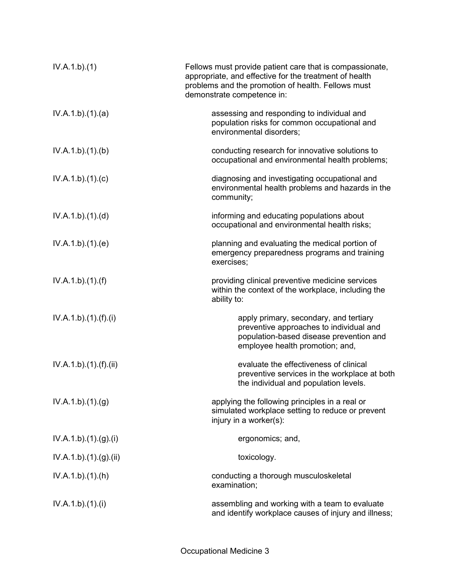| IV.A.1.b)(1)           | Fellows must provide patient care that is compassionate,<br>appropriate, and effective for the treatment of health<br>problems and the promotion of health. Fellows must<br>demonstrate competence in: |
|------------------------|--------------------------------------------------------------------------------------------------------------------------------------------------------------------------------------------------------|
| IV.A.1.b)(1)(a)        | assessing and responding to individual and<br>population risks for common occupational and<br>environmental disorders;                                                                                 |
| IV.A.1.b)(1)(b)        | conducting research for innovative solutions to<br>occupational and environmental health problems;                                                                                                     |
| IV.A.1.b)(1)(c)        | diagnosing and investigating occupational and<br>environmental health problems and hazards in the<br>community;                                                                                        |
| IV.A.1.b)(1)(d)        | informing and educating populations about<br>occupational and environmental health risks;                                                                                                              |
| IV.A.1.b)(1)(e)        | planning and evaluating the medical portion of<br>emergency preparedness programs and training<br>exercises;                                                                                           |
| IV.A.1.b)(1)(f)        | providing clinical preventive medicine services<br>within the context of the workplace, including the<br>ability to:                                                                                   |
| IV.A.1.b)(1)(f)(i)     | apply primary, secondary, and tertiary<br>preventive approaches to individual and<br>population-based disease prevention and<br>employee health promotion; and,                                        |
| IV.A.1.b) (1) (f) (ii) | evaluate the effectiveness of clinical<br>preventive services in the workplace at both<br>the individual and population levels.                                                                        |
| IV.A.1.b)(1)(g)        | applying the following principles in a real or<br>simulated workplace setting to reduce or prevent<br>injury in a worker(s):                                                                           |
| IV.A.1.b) (1) (g) (i)  | ergonomics; and,                                                                                                                                                                                       |
| IV.A.1.b)(1)(g)(ii)    | toxicology.                                                                                                                                                                                            |
| IV.A.1.b)(1)(h)        | conducting a thorough musculoskeletal<br>examination;                                                                                                                                                  |
| IV.A.1.b)(1)(i)        | assembling and working with a team to evaluate<br>and identify workplace causes of injury and illness;                                                                                                 |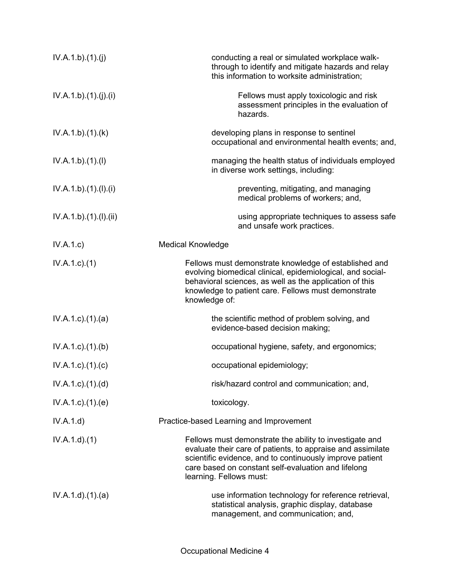| IV.A.1.b)(1)(j)           | conducting a real or simulated workplace walk-<br>through to identify and mitigate hazards and relay<br>this information to worksite administration;                                                                                                                 |  |
|---------------------------|----------------------------------------------------------------------------------------------------------------------------------------------------------------------------------------------------------------------------------------------------------------------|--|
| IV.A.1.b)(1)(j)(i)        | Fellows must apply toxicologic and risk<br>assessment principles in the evaluation of<br>hazards.                                                                                                                                                                    |  |
| IV.A.1.b)(1)(k)           | developing plans in response to sentinel<br>occupational and environmental health events; and,                                                                                                                                                                       |  |
| IV.A.1.b)(1)(I)           | managing the health status of individuals employed<br>in diverse work settings, including:                                                                                                                                                                           |  |
| IV.A.1.b)(1)(I)(i)        | preventing, mitigating, and managing<br>medical problems of workers; and,                                                                                                                                                                                            |  |
| IV.A.1.b)(1)(I)(ii)       | using appropriate techniques to assess safe<br>and unsafe work practices.                                                                                                                                                                                            |  |
| IV.A.1.c                  | <b>Medical Knowledge</b>                                                                                                                                                                                                                                             |  |
| $IV.A.1.c.$ (1)           | Fellows must demonstrate knowledge of established and<br>evolving biomedical clinical, epidemiological, and social-<br>behavioral sciences, as well as the application of this<br>knowledge to patient care. Fellows must demonstrate<br>knowledge of:               |  |
| $IV.A.1.c$ . $(1).$ $(a)$ | the scientific method of problem solving, and<br>evidence-based decision making;                                                                                                                                                                                     |  |
| IV.A.1.c)(1)(b)           | occupational hygiene, safety, and ergonomics;                                                                                                                                                                                                                        |  |
| $IV.A.1.c$ ). $(1).$ (c)  | occupational epidemiology;                                                                                                                                                                                                                                           |  |
| IV.A.1.c)(1)(d)           | risk/hazard control and communication; and,                                                                                                                                                                                                                          |  |
| $IV.A.1.c$ . $(1).$ $(e)$ | toxicology.                                                                                                                                                                                                                                                          |  |
| IV.A.1.d)                 | Practice-based Learning and Improvement                                                                                                                                                                                                                              |  |
| IV.A.1.d.(1)              | Fellows must demonstrate the ability to investigate and<br>evaluate their care of patients, to appraise and assimilate<br>scientific evidence, and to continuously improve patient<br>care based on constant self-evaluation and lifelong<br>learning. Fellows must: |  |
| IV.A.1.d.(1).(a)          | use information technology for reference retrieval,<br>statistical analysis, graphic display, database<br>management, and communication; and,                                                                                                                        |  |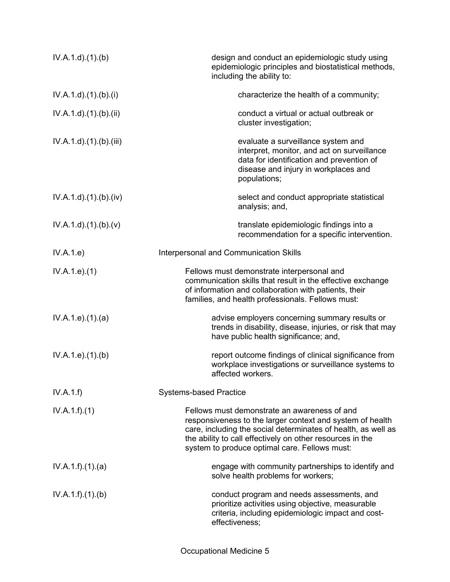| IV.A.1.d.(1).(b)                 | design and conduct an epidemiologic study using<br>epidemiologic principles and biostatistical methods,<br>including the ability to:                                                                                                                                                     |  |  |
|----------------------------------|------------------------------------------------------------------------------------------------------------------------------------------------------------------------------------------------------------------------------------------------------------------------------------------|--|--|
| $IV.A.1.d$ . $(1).(b).(i)$       | characterize the health of a community;                                                                                                                                                                                                                                                  |  |  |
| $IV.A.1.d$ . $(1). (b). (ii)$    | conduct a virtual or actual outbreak or<br>cluster investigation;                                                                                                                                                                                                                        |  |  |
| $IV.A.1.d$ . $(1).$ (b). $(iii)$ | evaluate a surveillance system and<br>interpret, monitor, and act on surveillance<br>data for identification and prevention of<br>disease and injury in workplaces and<br>populations;                                                                                                   |  |  |
| IV.A.1.d)(1)(b)(iv)              | select and conduct appropriate statistical<br>analysis; and,                                                                                                                                                                                                                             |  |  |
| $IV.A.1.d$ . $(1).(b).(v)$       | translate epidemiologic findings into a<br>recommendation for a specific intervention.                                                                                                                                                                                                   |  |  |
| IV.A.1.e)                        | <b>Interpersonal and Communication Skills</b>                                                                                                                                                                                                                                            |  |  |
| IV.A.1.e. (1)                    | Fellows must demonstrate interpersonal and<br>communication skills that result in the effective exchange<br>of information and collaboration with patients, their<br>families, and health professionals. Fellows must:                                                                   |  |  |
| IV.A.1.e. (1). (a)               | advise employers concerning summary results or<br>trends in disability, disease, injuries, or risk that may<br>have public health significance; and,                                                                                                                                     |  |  |
| IV.A.1.e. (1)(b)                 | report outcome findings of clinical significance from<br>workplace investigations or surveillance systems to<br>affected workers.                                                                                                                                                        |  |  |
| IV.A.1.f)                        | <b>Systems-based Practice</b>                                                                                                                                                                                                                                                            |  |  |
| IV.A.1.f)(1)                     | Fellows must demonstrate an awareness of and<br>responsiveness to the larger context and system of health<br>care, including the social determinates of health, as well as<br>the ability to call effectively on other resources in the<br>system to produce optimal care. Fellows must: |  |  |
| IV.A.1.f)(1)(a)                  | engage with community partnerships to identify and<br>solve health problems for workers;                                                                                                                                                                                                 |  |  |
| IV.A.1.f)(1)(b)                  | conduct program and needs assessments, and<br>prioritize activities using objective, measurable<br>criteria, including epidemiologic impact and cost-<br>effectiveness;                                                                                                                  |  |  |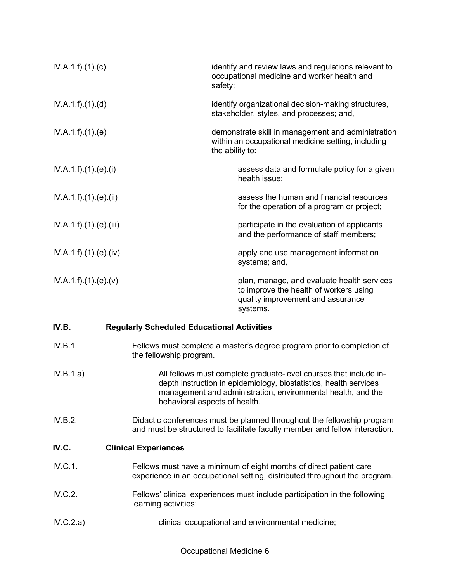| IV.A.1.f)(1)(c)      |                                                                                                                                                                                                                                         | safety;                                                                                         | identify and review laws and regulations relevant to<br>occupational medicine and worker health and                                   |  |
|----------------------|-----------------------------------------------------------------------------------------------------------------------------------------------------------------------------------------------------------------------------------------|-------------------------------------------------------------------------------------------------|---------------------------------------------------------------------------------------------------------------------------------------|--|
| IV.A.1.f).(1).(d)    |                                                                                                                                                                                                                                         | identify organizational decision-making structures,<br>stakeholder, styles, and processes; and, |                                                                                                                                       |  |
| IV.A.1.f)(1)(e)      |                                                                                                                                                                                                                                         | the ability to:                                                                                 | demonstrate skill in management and administration<br>within an occupational medicine setting, including                              |  |
| IV.A.1.f)(1)(e)(i)   |                                                                                                                                                                                                                                         |                                                                                                 | assess data and formulate policy for a given<br>health issue;                                                                         |  |
| IV.A.1.f)(1)(e)(ii)  |                                                                                                                                                                                                                                         |                                                                                                 | assess the human and financial resources<br>for the operation of a program or project;                                                |  |
| IV.A.1.f)(1)(e)(iii) |                                                                                                                                                                                                                                         |                                                                                                 | participate in the evaluation of applicants<br>and the performance of staff members;                                                  |  |
| IV.A.1.f)(1)(e)(iv)  |                                                                                                                                                                                                                                         |                                                                                                 | apply and use management information<br>systems; and,                                                                                 |  |
| IV.A.1.f)(1)(e)(v)   |                                                                                                                                                                                                                                         |                                                                                                 | plan, manage, and evaluate health services<br>to improve the health of workers using<br>quality improvement and assurance<br>systems. |  |
| IV.B.                | <b>Regularly Scheduled Educational Activities</b>                                                                                                                                                                                       |                                                                                                 |                                                                                                                                       |  |
| IV.B.1.              | Fellows must complete a master's degree program prior to completion of<br>the fellowship program.                                                                                                                                       |                                                                                                 |                                                                                                                                       |  |
| IV.B.1.a)            | All fellows must complete graduate-level courses that include in-<br>depth instruction in epidemiology, biostatistics, health services<br>management and administration, environmental health, and the<br>behavioral aspects of health. |                                                                                                 |                                                                                                                                       |  |
| IV.B.2.              | Didactic conferences must be planned throughout the fellowship program<br>and must be structured to facilitate faculty member and fellow interaction.                                                                                   |                                                                                                 |                                                                                                                                       |  |
| IV.C.                | <b>Clinical Experiences</b>                                                                                                                                                                                                             |                                                                                                 |                                                                                                                                       |  |
| IV.C.1.              | Fellows must have a minimum of eight months of direct patient care<br>experience in an occupational setting, distributed throughout the program.                                                                                        |                                                                                                 |                                                                                                                                       |  |
| IV.C.2.              | Fellows' clinical experiences must include participation in the following<br>learning activities:                                                                                                                                       |                                                                                                 |                                                                                                                                       |  |
| IV.C.2.a)            | clinical occupational and environmental medicine;                                                                                                                                                                                       |                                                                                                 |                                                                                                                                       |  |